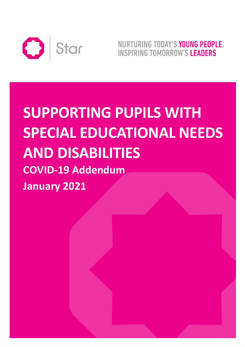

NURTURING TODAY'S YOUNG PEOPLE. **INSPIRING TOMORROW'S LEADERS** 

# **SUPPORTING PUPILS WITH SPECIAL EDUCATIONAL NEEDS AND DISABILITIES COVID-19 Addendum January 2021**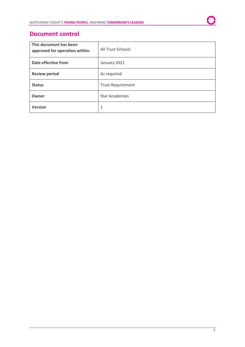## **Document control**

| This document has been<br>approved for operation within: | <b>All Trust Schools</b> |
|----------------------------------------------------------|--------------------------|
| Date effective from                                      | January 2021             |
| <b>Review period</b>                                     | As required              |
| <b>Status</b>                                            | <b>Trust Requirement</b> |
| Owner                                                    | <b>Star Academies</b>    |
| <b>Version</b>                                           | 1                        |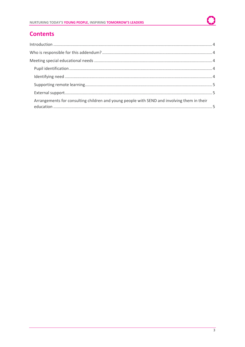# **Contents**

| Arrangements for consulting children and young people with SEND and involving them in their |  |
|---------------------------------------------------------------------------------------------|--|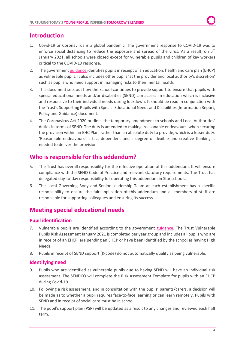## <span id="page-3-0"></span>**Introduction**

- 1. Covid-19 or Coronavirus is a global pandemic. The government response to COVID-19 was to enforce social distancing to reduce the exposure and spread of the virus. As a result, on 5<sup>th</sup> January 2021, all schools were closed except for vulnerable pupils and children of key workers critical to the COVID-19 response.
- 2. The government [guidance](https://www.gov.uk/government/publications/coronavirus-covid-19-maintaining-educational-provision/guidance-for-schools-colleges-and-local-authorities-on-maintaining-educational-provision) identifies pupils in receipt of an education, health and care plan (EHCP) as vulnerable pupils. It also includes other pupils 'at the provider and local authority's discretion' such as pupils who need support in managing risks to their mental health.
- 3. This document sets out how the School continues to provide support to ensure that pupils with special educational needs and/or disabilities (SEND) can access an education which is inclusive and responsive to their individual needs during lockdown. It should be read in conjunction with the Trust's Supporting Pupils with Special Educational Needs and Disabilities (Information Report, Policy and Guidance) document.
- 4. The Coronavirus Act 2020 outlines the temporary amendment to schools and Local Authorities' duties in terms of SEND. The duty is amended to making 'reasonable endeavours' when securing the provision within an EHC Plan, rather than an absolute duty to provide, which is a lesser duty. 'Reasonable endeavours' is fact dependent and a degree of flexible and creative thinking is needed to deliver the provision.

# <span id="page-3-1"></span>**Who is responsible for this addendum?**

- 5. The Trust has overall responsibility for the effective operation of this addendum. It will ensure compliance with the SEND Code of Practice and relevant statutory requirements. The Trust has delegated day-to-day responsibility for operating this addendum in Star schools.
- 6. The Local Governing Body and Senior Leadership Team at each establishment has a specific responsibility to ensure the fair application of this addendum and all members of staff are responsible for supporting colleagues and ensuring its success.

# <span id="page-3-2"></span>**Meeting special educational needs**

## <span id="page-3-3"></span>**Pupil identification**

- 7. Vulnerable pupils are identified according to the government [guidance.](https://www.gov.uk/government/publications/coronavirus-covid-19-maintaining-educational-provision/guidance-for-schools-colleges-and-local-authorities-on-maintaining-educational-provision) The Trust Vulnerable Pupils Risk Assessment January 2021 is completed per year group and includes all pupils who are in receipt of an EHCP, are pending an EHCP or have been identified by the school as having High Needs.
- 8. Pupils in receipt of SEND support (K-code) do not automatically qualify as being vulnerable.

## <span id="page-3-4"></span>**Identifying need**

- 9. Pupils who are identified as vulnerable pupils due to having SEND will have an individual risk assessment. The SENDCO will complete the Risk Assessment Template for pupils with an EHCP during Covid-19.
- 10. Following a risk assessment, and in consultation with the pupils' parents/carers, a decision will be made as to whether a pupil requires face-to-face learning or can learn remotely. Pupils with SEND and in receipt of social care must be in school.
- 11. The pupil's support plan (PSP) will be updated as a result to any changes and reviewed each half term.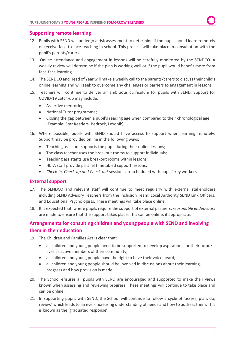### <span id="page-4-0"></span>**Supporting remote learning**

- 12. Pupils with SEND will undergo a risk assessment to determine if the pupil should learn remotely or receive face-to-face teaching in school. This process will take place in consultation with the pupil's parents/carers.
- 13. Online attendance and engagement in lessons will be carefully monitored by the SENDCO. A weekly review will determine if the plan is working well or if the pupil would benefit more from face-face learning.
- 14. The SENDCO and Head of Year will make a weekly call to the parents/carersto discuss their child's online learning and will seek to overcome any challenges or barriers to engagement in lessons.
- 15. Teachers will continue to deliver an ambitious curriculum for pupils with SEND. Support for COVID-19 catch-up may include:
	- Assertive mentoring;
	- National Tutor programme;
	- Closing the gap between a pupil's reading age when compared to their chronological age (Example: Star Readers, Bedrock, Lexonik).
- 16. Where possible, pupils with SEND should have access to support when learning remotely. Support may be provided online in the following ways:
	- Teaching assistant supports the pupil during their online lessons;
	- The class teacher uses the breakout rooms to support individuals;
	- Teaching assistants use breakout rooms within lessons;
	- HLTA staff provide parallel timetabled support lessons;
	- *Check-in, Check-up and Check-out* sessions are scheduled with pupils' key workers.

### <span id="page-4-1"></span>**External support**

- 17. The SENDCO and relevant staff will continue to meet regularly with external stakeholders including SEND Advisory Teachers from the Inclusion Team, Local Authority SEND Link Officers, and Educational Psychologists. These meetings will take place online.
- 18. It is expected that, where pupils require the support of external partners, *reasonable endeavours* are made to ensure that the support takes place. This can be online, if appropriate.

## <span id="page-4-2"></span>**Arrangements for consulting children and young people with SEND and involving them in their education**

- 19. The Children and Families Act is clear that:
	- all children and young people need to be supported to develop aspirations for their future lives as active members of their community;
	- all children and young people have the right to have their voice heard;
	- all children and young people should be involved in discussions about their learning, progress and how provision is made.
- 20. The School ensures all pupils with SEND are encouraged and supported to make their views known when assessing and reviewing progress. These meetings will continue to take place and can be online.
- 21. In supporting pupils with SEND, the School will continue to follow a cycle of 'assess, plan, do, review' which leads to an ever-increasing understanding of needs and how to address them. This is known as the 'graduated response'.